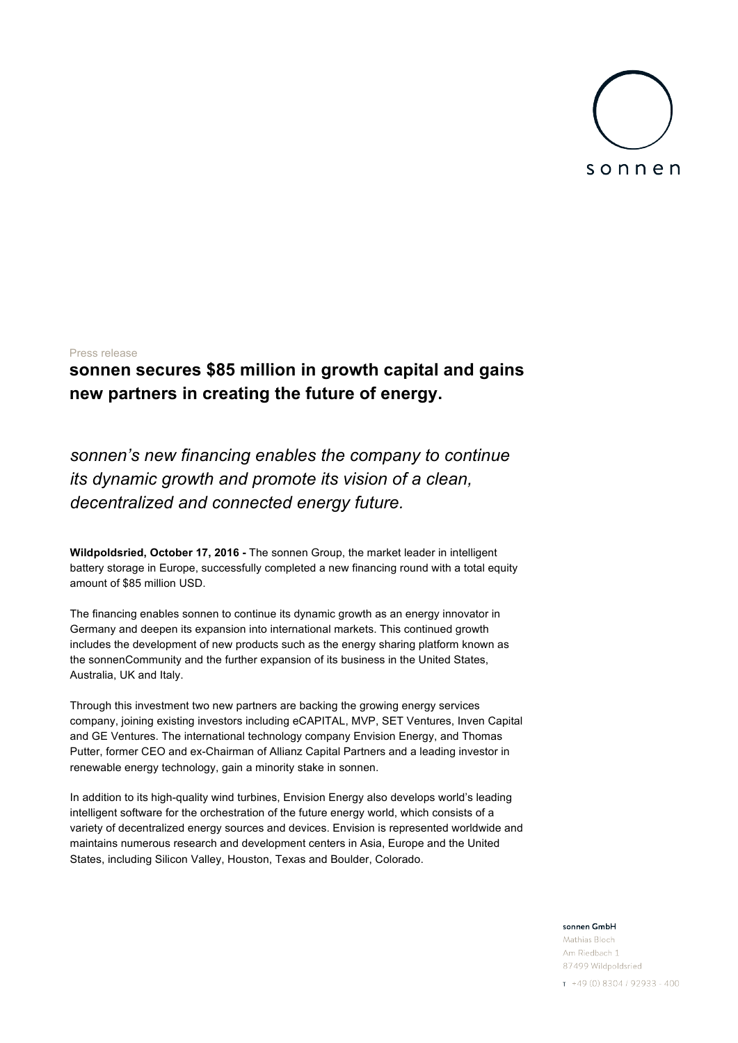

# Press release

# **sonnen secures \$85 million in growth capital and gains new partners in creating the future of energy.**

*sonnen's new financing enables the company to continue its dynamic growth and promote its vision of a clean, decentralized and connected energy future.*

**Wildpoldsried, October 17, 2016 -** The sonnen Group, the market leader in intelligent battery storage in Europe, successfully completed a new financing round with a total equity amount of \$85 million USD.

The financing enables sonnen to continue its dynamic growth as an energy innovator in Germany and deepen its expansion into international markets. This continued growth includes the development of new products such as the energy sharing platform known as the sonnenCommunity and the further expansion of its business in the United States, Australia, UK and Italy.

Through this investment two new partners are backing the growing energy services company, joining existing investors including eCAPITAL, MVP, SET Ventures, Inven Capital and GE Ventures. The international technology company Envision Energy, and Thomas Putter, former CEO and ex-Chairman of Allianz Capital Partners and a leading investor in renewable energy technology, gain a minority stake in sonnen.

In addition to its high-quality wind turbines, Envision Energy also develops world's leading intelligent software for the orchestration of the future energy world, which consists of a variety of decentralized energy sources and devices. Envision is represented worldwide and maintains numerous research and development centers in Asia, Europe and the United States, including Silicon Valley, Houston, Texas and Boulder, Colorado.

### sonnen GmbH

Mathias Bloch Am Riedbach 1 87499 Wildpoldsried

 $T + 49(0)8304/92933 - 400$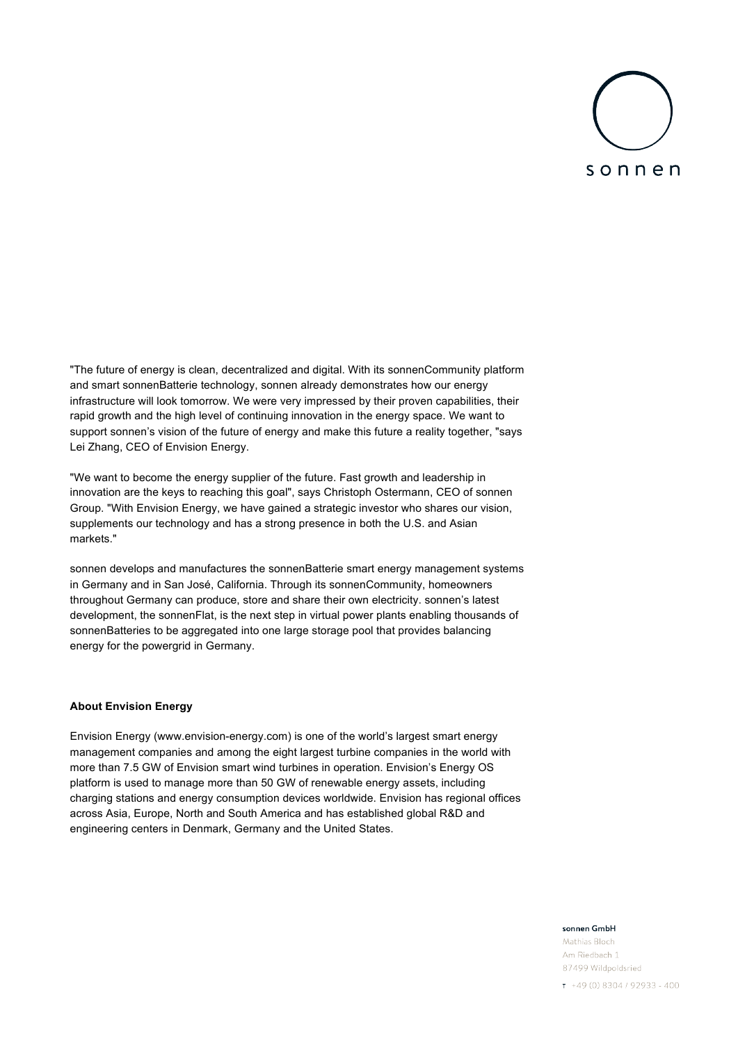# sonnen

"The future of energy is clean, decentralized and digital. With its sonnenCommunity platform and smart sonnenBatterie technology, sonnen already demonstrates how our energy infrastructure will look tomorrow. We were very impressed by their proven capabilities, their rapid growth and the high level of continuing innovation in the energy space. We want to support sonnen's vision of the future of energy and make this future a reality together, "says Lei Zhang, CEO of Envision Energy.

"We want to become the energy supplier of the future. Fast growth and leadership in innovation are the keys to reaching this goal", says Christoph Ostermann, CEO of sonnen Group. "With Envision Energy, we have gained a strategic investor who shares our vision, supplements our technology and has a strong presence in both the U.S. and Asian markets."

sonnen develops and manufactures the sonnenBatterie smart energy management systems in Germany and in San José, California. Through its sonnenCommunity, homeowners throughout Germany can produce, store and share their own electricity. sonnen's latest development, the sonnenFlat, is the next step in virtual power plants enabling thousands of sonnenBatteries to be aggregated into one large storage pool that provides balancing energy for the powergrid in Germany.

### **About Envision Energy**

Envision Energy (www.envision-energy.com) is one of the world's largest smart energy management companies and among the eight largest turbine companies in the world with more than 7.5 GW of Envision smart wind turbines in operation. Envision's Energy OS platform is used to manage more than 50 GW of renewable energy assets, including charging stations and energy consumption devices worldwide. Envision has regional offices across Asia, Europe, North and South America and has established global R&D and engineering centers in Denmark, Germany and the United States.

### sonnen GmbH

Mathias Bloch Am Riedbach 1 87499 Wildpoldsried

 $T + 49(0)8304/92933 - 400$